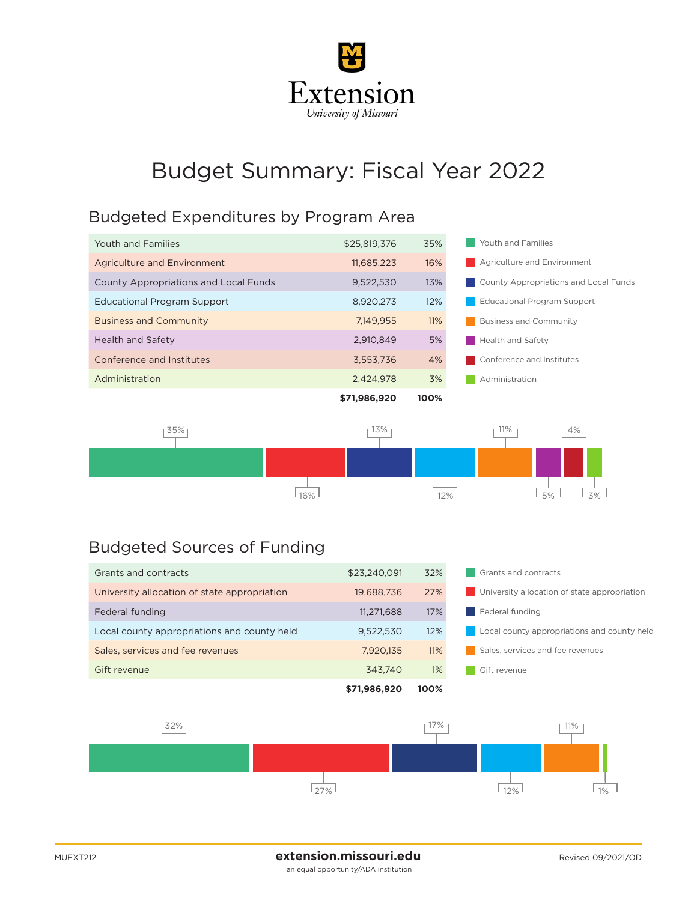

## Budget Summary: Fiscal Year 2022

## Budgeted Expenditures by Program Area

|                                              | \$71,986,920 | 100% |                                       |
|----------------------------------------------|--------------|------|---------------------------------------|
| Administration                               | 2,424,978    | 3%   | Administration                        |
| Conference and Institutes                    | 3,553,736    | 4%   | Conference and Institutes             |
| Health and Safety                            | 2.910.849    | 5%   | <b>Health and Safety</b>              |
| <b>Business and Community</b>                | 7.149.955    | 11%  | <b>Business and Community</b>         |
| <b>Educational Program Support</b>           | 8,920,273    | 12%  | <b>Educational Program Support</b>    |
| <b>County Appropriations and Local Funds</b> | 9,522,530    | 13%  | County Appropriations and Local Funds |
| Agriculture and Environment                  | 11,685,223   | 16%  | Agriculture and Environment           |
| Youth and Families                           | \$25,819,376 | 35%  | Youth and Families                    |
|                                              |              |      |                                       |



## Budgeted Sources of Funding

|                                              | \$71,986,920 | 100%  |                                              |  |
|----------------------------------------------|--------------|-------|----------------------------------------------|--|
| Gift revenue                                 | 343.740      | $1\%$ | Gift revenue                                 |  |
| Sales, services and fee revenues             | 7,920,135    | 11%   | Sales, services and fee revenues             |  |
| Local county appropriations and county held  | 9,522,530    | 12%   | Local county appropriations and county held  |  |
| Federal funding                              | 11,271,688   | 17%   | Federal funding                              |  |
| University allocation of state appropriation | 19,688,736   | 27%   | University allocation of state appropriation |  |
| Grants and contracts                         | \$23,240,091 | 32%   | Grants and contracts                         |  |